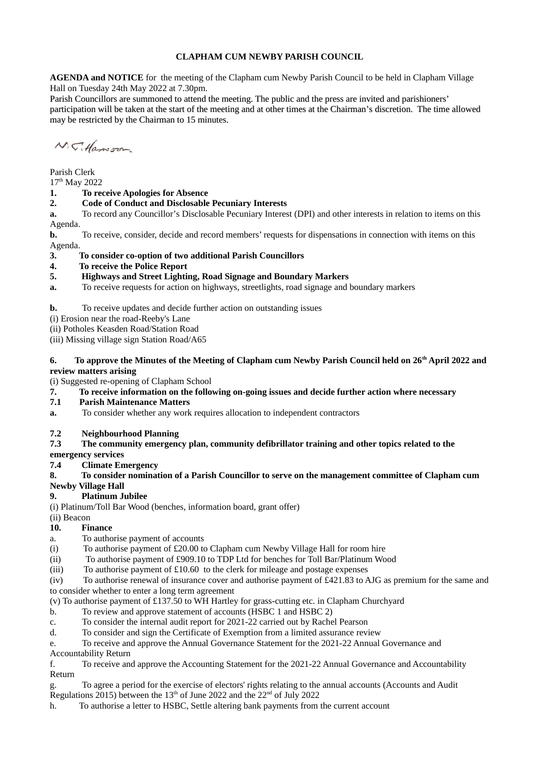### **CLAPHAM CUM NEWBY PARISH COUNCIL**

**AGENDA and NOTICE** for the meeting of the Clapham cum Newby Parish Council to be held in Clapham Village Hall on Tuesday 24th May 2022 at 7.30pm.

Parish Councillors are summoned to attend the meeting. The public and the press are invited and parishioners' participation will be taken at the start of the meeting and at other times at the Chairman's discretion. The time allowed may be restricted by the Chairman to 15 minutes.

N.C. Hamson

Parish Clerk

17th May 2022

### **1. To receive Apologies for Absence**

### **2. Code of Conduct and Disclosable Pecuniary Interests**

**a.** To record any Councillor's Disclosable Pecuniary Interest (DPI) and other interests in relation to items on this Agenda.

**b.** To receive, consider, decide and record members' requests for dispensations in connection with items on this Agenda.

**3. To consider co-option of two additional Parish Councillors**

**4. To receive the Police Report**

### **5. Highways and Street Lighting, Road Signage and Boundary Markers**

**a.** To receive requests for action on highways, streetlights, road signage and boundary markers

### **b.** To receive updates and decide further action on outstanding issues

- (i) Erosion near the road-Reeby's Lane
- (ii) Potholes Keasden Road/Station Road

(iii) Missing village sign Station Road/A65

#### **6. To approve the Minutes of the Meeting of Clapham cum Newby Parish Council held on 26th April 2022 and review matters arising**

(i) Suggested re-opening of Clapham School

#### **7. To receive information on the following on-going issues and decide further action where necessary**

### **7.1 Parish Maintenance Matters**

**a.** To consider whether any work requires allocation to independent contractors

### **7.2 Neighbourhood Planning**

### **7.3 The community emergency plan, community defibrillator training and other topics related to the**

# **emergency services**

**7.4 Climate Emergency**

# **8. To consider nomination of a Parish Councillor to serve on the management committee of Clapham cum**

# **Newby Village Hall**

# **9. Platinum Jubilee**

(i) Platinum/Toll Bar Wood (benches, information board, grant offer)

(ii) Beacon

# **10. Finance**

- a. To authorise payment of accounts
- (i) To authorise payment of £20.00 to Clapham cum Newby Village Hall for room hire
- (ii) To authorise payment of £909.10 to TDP Ltd for benches for Toll Bar/Platinum Wood
- (iii) To authorise payment of £10.60 to the clerk for mileage and postage expenses

 $(iv)$  To authorise renewal of insurance cover and authorise payment of £421.83 to AJG as premium for the same and to consider whether to enter a long term agreement

- (v) To authorise payment of £137.50 to WH Hartley for grass-cutting etc. in Clapham Churchyard
- b. To review and approve statement of accounts (HSBC 1 and HSBC 2)
- c. To consider the internal audit report for 2021-22 carried out by Rachel Pearson
- d. To consider and sign the Certificate of Exemption from a limited assurance review

e. To receive and approve the Annual Governance Statement for the 2021-22 Annual Governance and Accountability Return

f. To receive and approve the Accounting Statement for the 2021-22 Annual Governance and Accountability Return

- g. To agree a period for the exercise of electors' rights relating to the annual accounts (Accounts and Audit Regulations 2015) between the  $13<sup>th</sup>$  of June 2022 and the 22<sup>nd</sup> of July 2022
- h. To authorise a letter to HSBC, Settle altering bank payments from the current account